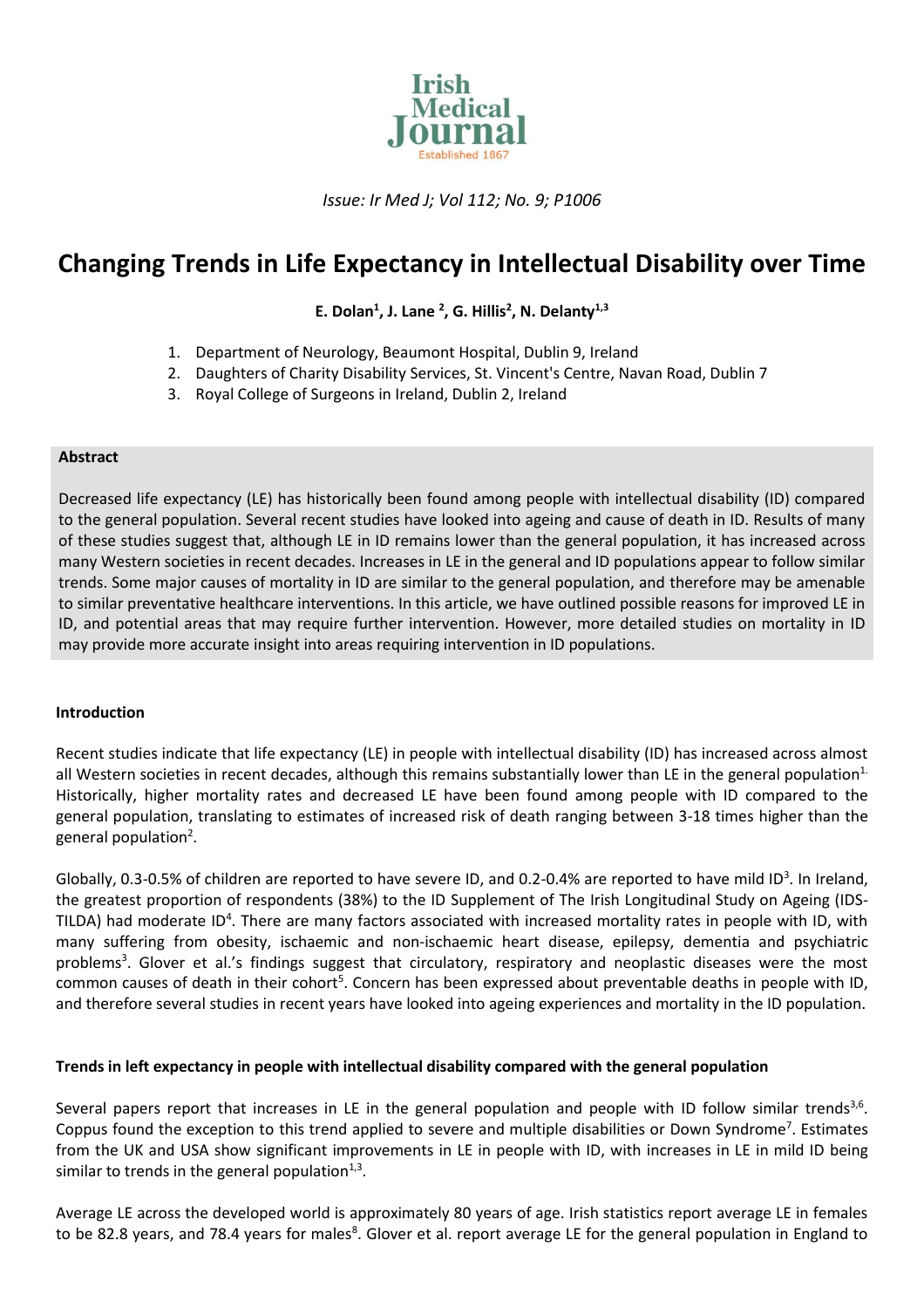

*Issue: Ir Med J; Vol 112; No. 9; P1006*

# **Changing Trends in Life Expectancy in Intellectual Disability over Time**

**E. Dolan<sup>1</sup> , J. Lane <sup>2</sup> , G. Hillis<sup>2</sup> , N. Delanty1,3**

- 1. Department of Neurology, Beaumont Hospital, Dublin 9, Ireland
- 2. Daughters of Charity Disability Services, St. Vincent's Centre, Navan Road, Dublin 7
- 3. Royal College of Surgeons in Ireland, Dublin 2, Ireland

#### **Abstract**

Decreased life expectancy (LE) has historically been found among people with intellectual disability (ID) compared to the general population. Several recent studies have looked into ageing and cause of death in ID. Results of many of these studies suggest that, although LE in ID remains lower than the general population, it has increased across many Western societies in recent decades. Increases in LE in the general and ID populations appear to follow similar trends. Some major causes of mortality in ID are similar to the general population, and therefore may be amenable to similar preventative healthcare interventions. In this article, we have outlined possible reasons for improved LE in ID, and potential areas that may require further intervention. However, more detailed studies on mortality in ID may provide more accurate insight into areas requiring intervention in ID populations.

## **Introduction**

Recent studies indicate that life expectancy (LE) in people with intellectual disability (ID) has increased across almost all Western societies in recent decades, although this remains substantially lower than LE in the general population<sup>1.</sup> Historically, higher mortality rates and decreased LE have been found among people with ID compared to the general population, translating to estimates of increased risk of death ranging between 3-18 times higher than the general population<sup>2</sup>.

Globally, 0.3-0.5% of children are reported to have severe ID, and 0.2-0.4% are reported to have mild ID<sup>3</sup>. In Ireland, the greatest proportion of respondents (38%) to the ID Supplement of The Irish Longitudinal Study on Ageing (IDS-TILDA) had moderate ID<sup>4</sup>. There are many factors associated with increased mortality rates in people with ID, with many suffering from obesity, ischaemic and non-ischaemic heart disease, epilepsy, dementia and psychiatric problems<sup>3</sup>. Glover et al.'s findings suggest that circulatory, respiratory and neoplastic diseases were the most common causes of death in their cohort<sup>5</sup>. Concern has been expressed about preventable deaths in people with ID, and therefore several studies in recent years have looked into ageing experiences and mortality in the ID population.

## **Trends in left expectancy in people with intellectual disability compared with the general population**

Several papers report that increases in LE in the general population and people with ID follow similar trends<sup>3,6</sup>. Coppus found the exception to this trend applied to severe and multiple disabilities or Down Syndrome<sup>7</sup>. Estimates from the UK and USA show significant improvements in LE in people with ID, with increases in LE in mild ID being similar to trends in the general population $^{1,3}$ .

Average LE across the developed world is approximately 80 years of age. Irish statistics report average LE in females to be 82.8 years, and 78.4 years for males<sup>8</sup>. Glover et al. report average LE for the general population in England to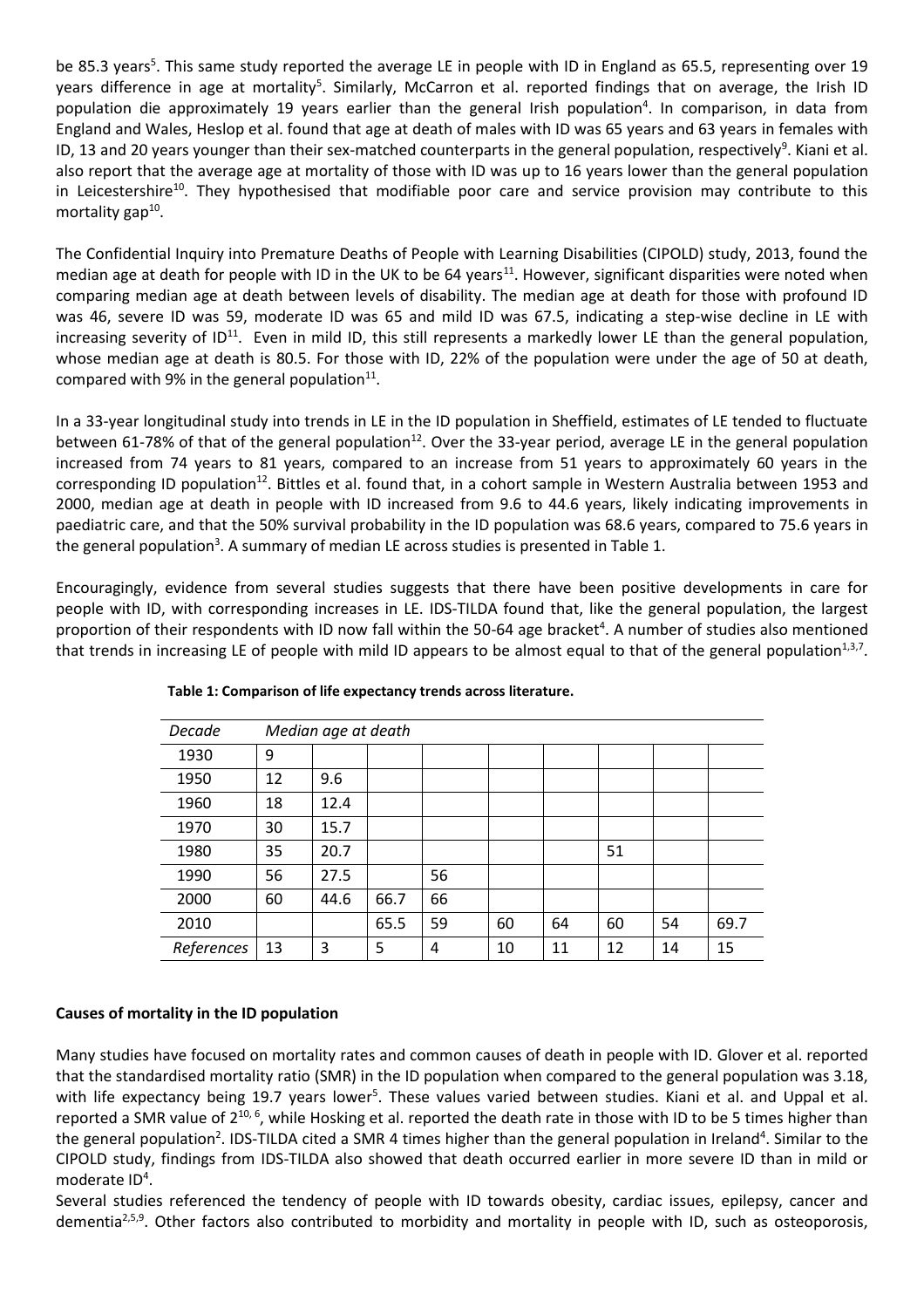be 85.3 years<sup>5</sup>. This same study reported the average LE in people with ID in England as 65.5, representing over 19 years difference in age at mortality<sup>5</sup>. Similarly, McCarron et al. reported findings that on average, the Irish ID population die approximately 19 years earlier than the general Irish population<sup>4</sup>. In comparison, in data from England and Wales, Heslop et al. found that age at death of males with ID was 65 years and 63 years in females with ID, 13 and 20 years younger than their sex-matched counterparts in the general population, respectively<sup>9</sup>. Kiani et al. also report that the average age at mortality of those with ID was up to 16 years lower than the general population in Leicestershire<sup>10</sup>. They hypothesised that modifiable poor care and service provision may contribute to this mortality gap<sup>10</sup>.

The Confidential Inquiry into Premature Deaths of People with Learning Disabilities (CIPOLD) study, 2013, found the median age at death for people with ID in the UK to be 64 years<sup>11</sup>. However, significant disparities were noted when comparing median age at death between levels of disability. The median age at death for those with profound ID was 46, severe ID was 59, moderate ID was 65 and mild ID was 67.5, indicating a step-wise decline in LE with increasing severity of ID<sup>11</sup>. Even in mild ID, this still represents a markedly lower LE than the general population, whose median age at death is 80.5. For those with ID, 22% of the population were under the age of 50 at death, compared with 9% in the general population $^{11}$ .

In a 33-year longitudinal study into trends in LE in the ID population in Sheffield, estimates of LE tended to fluctuate between 61-78% of that of the general population<sup>12</sup>. Over the 33-year period, average LE in the general population increased from 74 years to 81 years, compared to an increase from 51 years to approximately 60 years in the corresponding ID population<sup>12</sup>. Bittles et al. found that, in a cohort sample in Western Australia between 1953 and 2000, median age at death in people with ID increased from 9.6 to 44.6 years, likely indicating improvements in paediatric care, and that the 50% survival probability in the ID population was 68.6 years, compared to 75.6 years in the general population<sup>3</sup>. A summary of median LE across studies is presented in Table 1.

Encouragingly, evidence from several studies suggests that there have been positive developments in care for people with ID, with corresponding increases in LE. IDS-TILDA found that, like the general population, the largest proportion of their respondents with ID now fall within the 50-64 age bracket<sup>4</sup>. A number of studies also mentioned that trends in increasing LE of people with mild ID appears to be almost equal to that of the general population $^{1,3,7}$ .

| Decade     | Median age at death |      |      |    |    |    |    |    |      |
|------------|---------------------|------|------|----|----|----|----|----|------|
| 1930       | 9                   |      |      |    |    |    |    |    |      |
| 1950       | 12                  | 9.6  |      |    |    |    |    |    |      |
| 1960       | 18                  | 12.4 |      |    |    |    |    |    |      |
| 1970       | 30                  | 15.7 |      |    |    |    |    |    |      |
| 1980       | 35                  | 20.7 |      |    |    |    | 51 |    |      |
| 1990       | 56                  | 27.5 |      | 56 |    |    |    |    |      |
| 2000       | 60                  | 44.6 | 66.7 | 66 |    |    |    |    |      |
| 2010       |                     |      | 65.5 | 59 | 60 | 64 | 60 | 54 | 69.7 |
| References | 13                  | 3    | 5    | 4  | 10 | 11 | 12 | 14 | 15   |

**Table 1: Comparison of life expectancy trends across literature.**

# **Causes of mortality in the ID population**

Many studies have focused on mortality rates and common causes of death in people with ID. Glover et al. reported that the standardised mortality ratio (SMR) in the ID population when compared to the general population was 3.18, with life expectancy being 19.7 years lower<sup>5</sup>. These values varied between studies. Kiani et al. and Uppal et al. reported a SMR value of 2<sup>10, 6</sup>, while Hosking et al. reported the death rate in those with ID to be 5 times higher than the general population<sup>2</sup>. IDS-TILDA cited a SMR 4 times higher than the general population in Ireland<sup>4</sup>. Similar to the CIPOLD study, findings from IDS-TILDA also showed that death occurred earlier in more severe ID than in mild or moderate ID<sup>4</sup>.

Several studies referenced the tendency of people with ID towards obesity, cardiac issues, epilepsy, cancer and dementia<sup>2,5,9</sup>. Other factors also contributed to morbidity and mortality in people with ID, such as osteoporosis,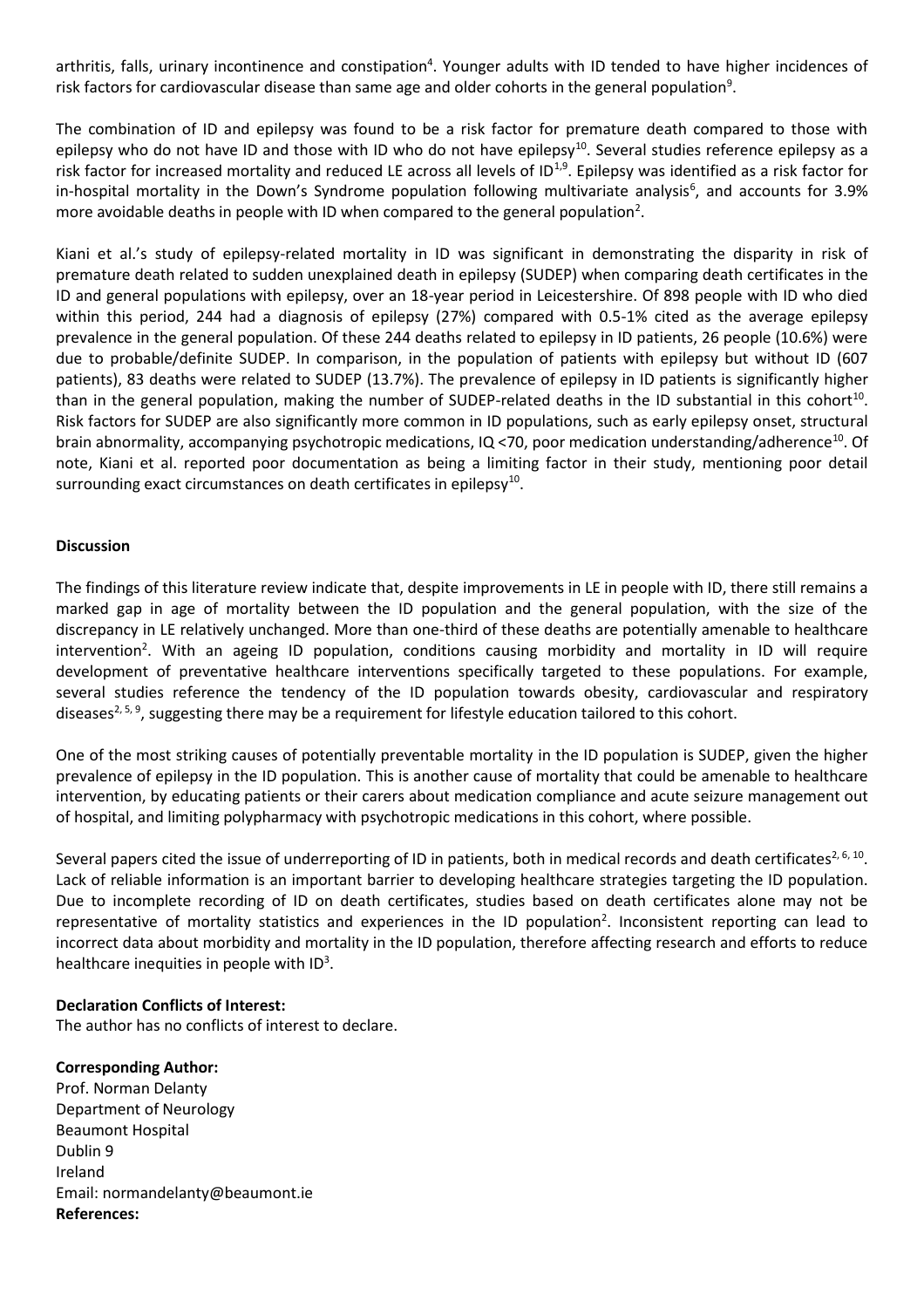arthritis, falls, urinary incontinence and constipation<sup>4</sup>. Younger adults with ID tended to have higher incidences of risk factors for cardiovascular disease than same age and older cohorts in the general population $^9$ .

The combination of ID and epilepsy was found to be a risk factor for premature death compared to those with epilepsy who do not have ID and those with ID who do not have epilepsy<sup>10</sup>. Several studies reference epilepsy as a risk factor for increased mortality and reduced LE across all levels of ID<sup>1,9</sup>. Epilepsy was identified as a risk factor for in-hospital mortality in the Down's Syndrome population following multivariate analysis<sup>6</sup>, and accounts for 3.9% more avoidable deaths in people with ID when compared to the general population<sup>2</sup>.

Kiani et al.'s study of epilepsy-related mortality in ID was significant in demonstrating the disparity in risk of premature death related to sudden unexplained death in epilepsy (SUDEP) when comparing death certificates in the ID and general populations with epilepsy, over an 18-year period in Leicestershire. Of 898 people with ID who died within this period, 244 had a diagnosis of epilepsy (27%) compared with 0.5-1% cited as the average epilepsy prevalence in the general population. Of these 244 deaths related to epilepsy in ID patients, 26 people (10.6%) were due to probable/definite SUDEP. In comparison, in the population of patients with epilepsy but without ID (607 patients), 83 deaths were related to SUDEP (13.7%). The prevalence of epilepsy in ID patients is significantly higher than in the general population, making the number of SUDEP-related deaths in the ID substantial in this cohort<sup>10</sup>. Risk factors for SUDEP are also significantly more common in ID populations, such as early epilepsy onset, structural brain abnormality, accompanying psychotropic medications, IQ <70, poor medication understanding/adherence<sup>10</sup>. Of note, Kiani et al. reported poor documentation as being a limiting factor in their study, mentioning poor detail surrounding exact circumstances on death certificates in epilepsy $^{\rm 10}.$ 

## **Discussion**

The findings of this literature review indicate that, despite improvements in LE in people with ID, there still remains a marked gap in age of mortality between the ID population and the general population, with the size of the discrepancy in LE relatively unchanged. More than one-third of these deaths are potentially amenable to healthcare intervention<sup>2</sup>. With an ageing ID population, conditions causing morbidity and mortality in ID will require development of preventative healthcare interventions specifically targeted to these populations. For example, several studies reference the tendency of the ID population towards obesity, cardiovascular and respiratory diseases<sup>2, 5, 9</sup>, suggesting there may be a requirement for lifestyle education tailored to this cohort.

One of the most striking causes of potentially preventable mortality in the ID population is SUDEP, given the higher prevalence of epilepsy in the ID population. This is another cause of mortality that could be amenable to healthcare intervention, by educating patients or their carers about medication compliance and acute seizure management out of hospital, and limiting polypharmacy with psychotropic medications in this cohort, where possible.

Several papers cited the issue of underreporting of ID in patients, both in medical records and death certificates<sup>2, 6, 10</sup>. Lack of reliable information is an important barrier to developing healthcare strategies targeting the ID population. Due to incomplete recording of ID on death certificates, studies based on death certificates alone may not be representative of mortality statistics and experiences in the ID population<sup>2</sup>. Inconsistent reporting can lead to incorrect data about morbidity and mortality in the ID population, therefore affecting research and efforts to reduce healthcare inequities in people with ID<sup>3</sup>.

## **Declaration Conflicts of Interest:**

The author has no conflicts of interest to declare.

## **Corresponding Author:**

Prof. Norman Delanty Department of Neurology Beaumont Hospital Dublin 9 Ireland Email: [normandelanty@beaumont.ie](mailto:normandelanty@beaumont.ie) **References:**